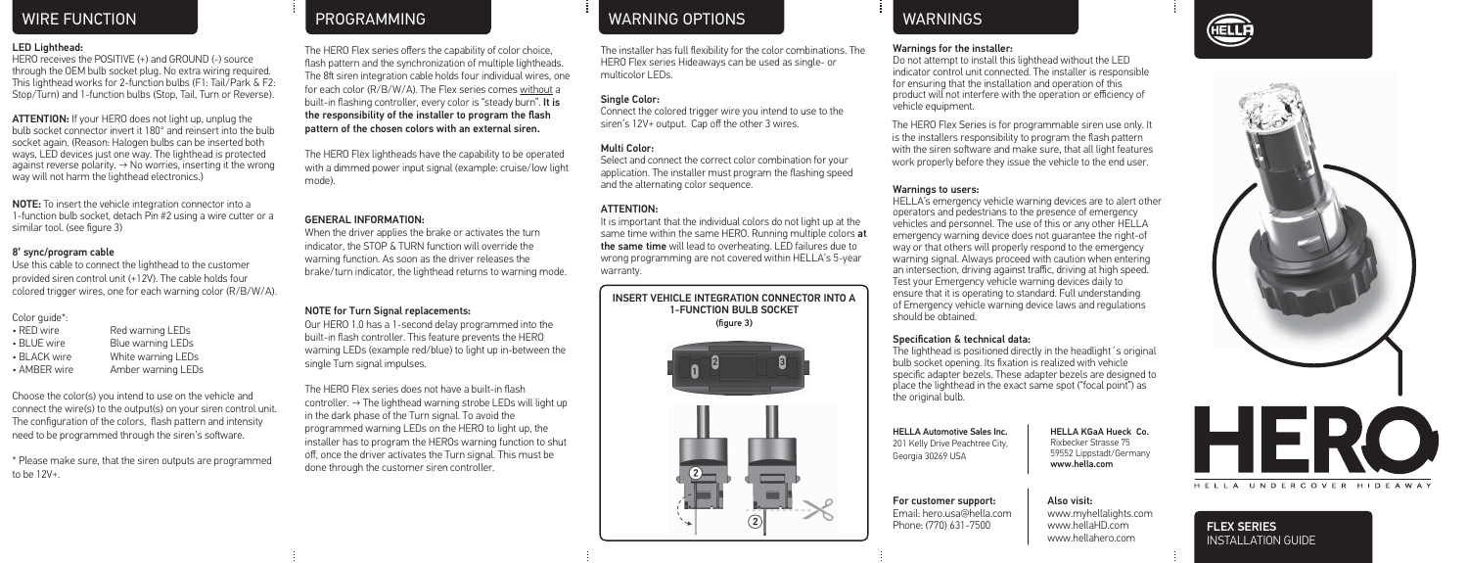### LED Lighthead:

HERO receives the POSITIVE (+) and GROUND (-) source through the OEM bulb socket plug. No extra wiring required. This lighthead works for 2-function bulbs (F1: Tail/Park & F2: Stop/Turn) and 1-function bulbs (Stop, Tail, Turn or Reverse).

ATTENTION: If your HERO does not light up, unplug the bulb socket connector invert it 180° and reinsert into the bulb socket again. (Reason: Halogen bulbs can be inserted both ways, LED devices just one way. The lighthead is protected against reverse polarity. → No worries, inserting it the wrong way will not harm the lighthead electronics.)

NOTE: To insert the vehicle integration connector into a 1-function bulb socket, detach Pin #2 using a wire cutter or a similar tool. (see figure 3)

### 8' sync/program cable

Use this cable to connect the lighthead to the customer provided siren control unit (+12V). The cable holds four colored trigger wires, one for each warning color (R/B/W/A).

Color guide\*:

| • RED wire   | Red warning LEDs   |
|--------------|--------------------|
| • BLUE wire  | Blue warning LEDs  |
| • BLACK wire | White warning LEDs |
| • AMBER wire | Amber warning LEDs |

Choose the color(s) you intend to use on the vehicle and connect the wire(s) to the output(s) on your siren control unit. The configuration of the colors, flash pattern and intensity need to be programmed through the siren's software.

\* Please make sure, that the siren outputs are programmed to be 12V+.

The HERO Flex series offers the capability of color choice, flash pattern and the synchronization of multiple lightheads. The 8ft siren integration cable holds four individual wires, one for each color (R/B/W/A). The Flex series comes without a built-in flashing controller, every color is "steady burn". It is the responsibility of the installer to program the flash pattern of the chosen colors with an external siren.

The HERO Flex lightheads have the capability to be operated with a dimmed power input signal (example: cruise/low light mode).

### GENERAL INFORMATION:

When the driver applies the brake or activates the turn indicator, the STOP & TURN function will override the warning function. As soon as the driver releases the brake/turn indicator, the lighthead returns to warning mode.

# NOTE for Turn Signal replacements:

Our HERO 1.0 has a 1-second delay programmed into the built-in flash controller. This feature prevents the HERO warning LEDs (example red/blue) to light up in-between the single Turn signal impulses.

The HERO Flex series does not have a built-in flash controller.  $\rightarrow$  The lighthead warning strobe LEDs will light up in the dark phase of the Turn signal. To avoid the programmed warning LEDs on the HERO to light up, the installer has to program the HEROs warning function to shut off, once the driver activates the Turn signal. This must be done through the customer siren controller.

# WIRE FUNCTION CONTROL TO THE PROGRAMMING CONTROL TO A RESERVE THE MARNINGS WARNINGS WARNINGS

The installer has full flexibility for the color combinations. The HERO Flex series Hideaways can be used as single- or multicolor LEDs.

### Single Color:

Connect the colored trigger wire you intend to use to the siren's 12V+ output. Cap off the other 3 wires.

### Multi Color:

Select and connect the correct color combination for your application. The installer must program the flashing speed and the alternating color sequence.

### ATTENTION:

It is important that the individual colors do not light up at the same time within the same HERO. Running multiple colors at the same time will lead to overheating. LED failures due to wrong programming are not covered within HELLA's 5-year warranty.





### Warnings for the installer:

Do not attempt to install this lighthead without the LED indicator control unit connected. The installer is responsible for ensuring that the installation and operation of this product will not interfere with the operation or efficiency of vehicle equipment.

The HERO Flex Series is for programmable siren use only. It is the installers responsibility to program the flash pattern with the siren software and make sure, that all light features work properly before they issue the vehicle to the end user.

### Warnings to users:

HELLA's emergency vehicle warning devices are to alert other operators and pedestrians to the presence of emergency vehicles and personnel. The use of this or any other HELLA emergency warning device does not guarantee the right-of way or that others will properly respond to the emergency warning signal. Always proceed with caution when entering an intersection, driving against traffic, driving at high speed. Test your Emergency vehicle warning devices daily to ensure that it is operating to standard. Full understanding of Emergency vehicle warning device laws and regulations should be obtained.

# Specification & technical data:

The lighthead is positioned directly in the headlight's original bulb socket opening. Its fixation is realized with vehicle specific adapter bezels. These adapter bezels are designed to place the lighthead in the exact same spot ("focal point") as the original bulb.

HELLA Automotive Sales Inc. 201 Kelly Drive Peachtree City, Georgia 30269 USA

For customer support: Email: hero.usa@hella.com Phone: (770) 631-7500

HELLA KGaA Hueck Co. Rixbecker Strasse 75 59552 Lippstadt/Germany www.hella.com

www.hellaHD.com www.hellahero.com

Also visit: www.myhellalights.com



HELLA